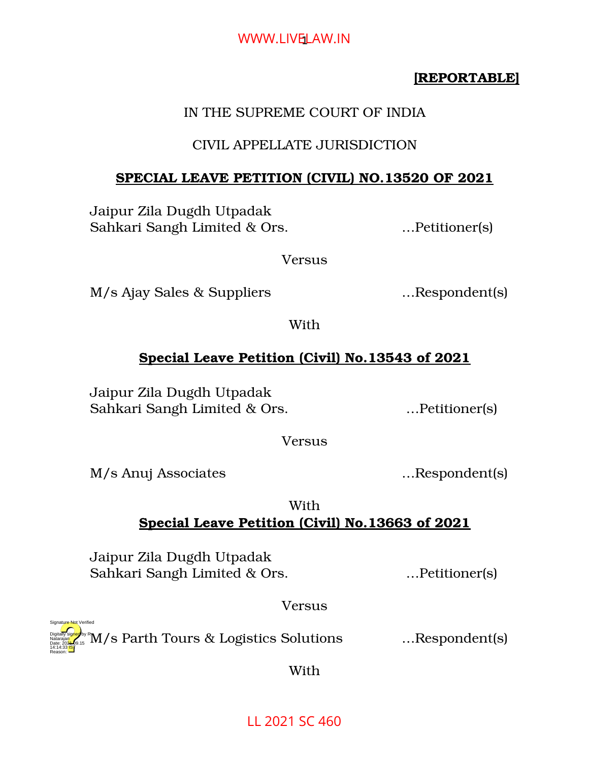# WWW.LIVE<mark>LAW.IN</mark>

# **[REPORTABLE]**

# IN THE SUPREME COURT OF INDIA

# CIVIL APPELLATE JURISDICTION

# **SPECIAL LEAVE PETITION (CIVIL) NO.13520 OF 2021**

Jaipur Zila Dugdh Utpadak Sahkari Sangh Limited & Ors. …Petitioner(s)

Versus

M/s Ajay Sales & Suppliers …Respondent(s)

With

# **Special Leave Petition (Civil) No.13543 of 2021**

Jaipur Zila Dugdh Utpadak Sahkari Sangh Limited & Ors. ... Petitioner(s)

Versus

M/s Anuj Associates …Respondent(s)

Reason:

Signature Not Verified

With

# **Special Leave Petition (Civil) No.13663 of 2021**

Jaipur Zila Dugdh Utpadak Sahkari Sangh Limited & Ors. …Petitioner(s)

Versus

M/s Parth Tours & Logistics Solutions …Respondent(s) Digitally signed by R Natarajan Date: 2024-09.15 14:14:33<sup>1S</sup>T

With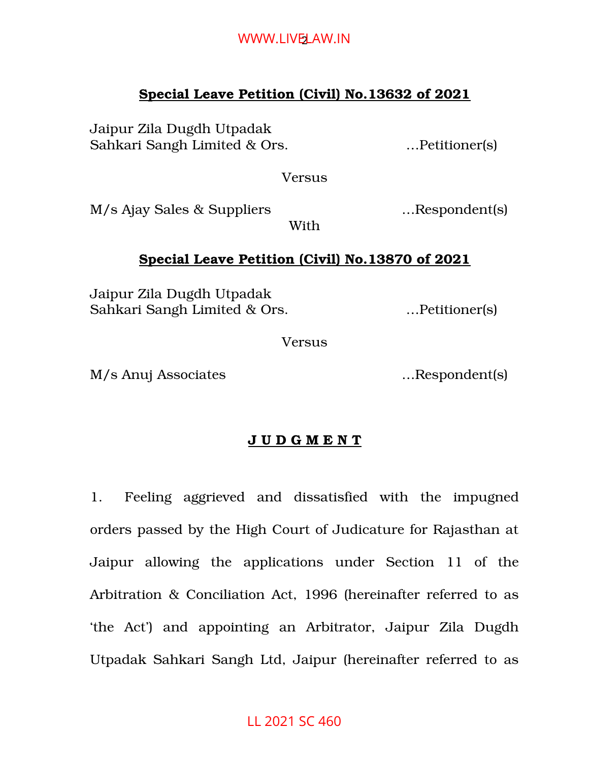# WWW.LIVE<mark>L</mark>AW.IN

## **Special Leave Petition (Civil) No.13632 of 2021**

Jaipur Zila Dugdh Utpadak Sahkari Sangh Limited & Ors. …Petitioner(s)

Versus

M/s Ajay Sales & Suppliers …Respondent(s)

With

## **Special Leave Petition (Civil) No.13870 of 2021**

Jaipur Zila Dugdh Utpadak Sahkari Sangh Limited & Ors. ... Petitioner(s)

Versus

M/s Anuj Associates …Respondent(s)

# **J U D G M E N T**

1. Feeling aggrieved and dissatisfied with the impugned orders passed by the High Court of Judicature for Rajasthan at Jaipur allowing the applications under Section 11 of the Arbitration & Conciliation Act, 1996 (hereinafter referred to as 'the Act') and appointing an Arbitrator, Jaipur Zila Dugdh Utpadak Sahkari Sangh Ltd, Jaipur (hereinafter referred to as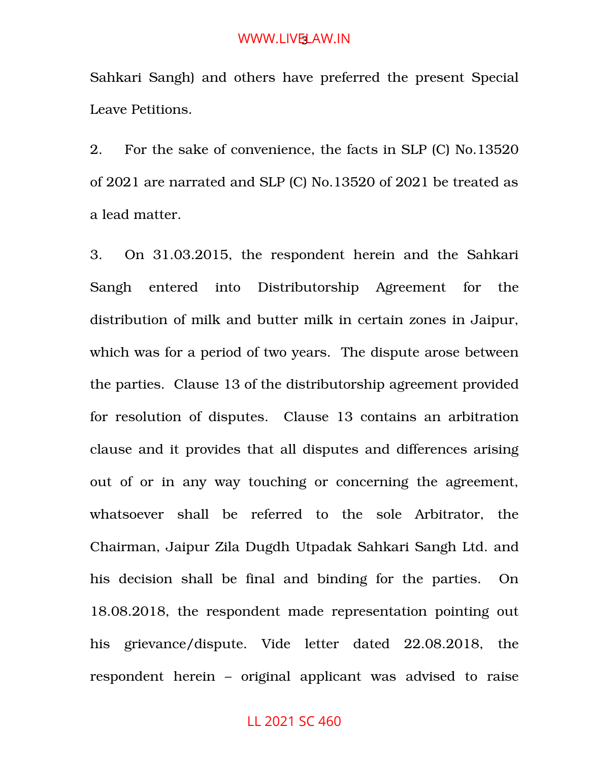Sahkari Sangh) and others have preferred the present Special Leave Petitions.

2. For the sake of convenience, the facts in SLP (C) No.13520 of 2021 are narrated and SLP (C) No.13520 of 2021 be treated as a lead matter.

3. On 31.03.2015, the respondent herein and the Sahkari Sangh entered into Distributorship Agreement for the distribution of milk and butter milk in certain zones in Jaipur, which was for a period of two years. The dispute arose between the parties. Clause 13 of the distributorship agreement provided for resolution of disputes. Clause 13 contains an arbitration clause and it provides that all disputes and differences arising out of or in any way touching or concerning the agreement, whatsoever shall be referred to the sole Arbitrator, the Chairman, Jaipur Zila Dugdh Utpadak Sahkari Sangh Ltd. and his decision shall be final and binding for the parties. On 18.08.2018, the respondent made representation pointing out his grievance/dispute. Vide letter dated 22.08.2018, the respondent herein – original applicant was advised to raise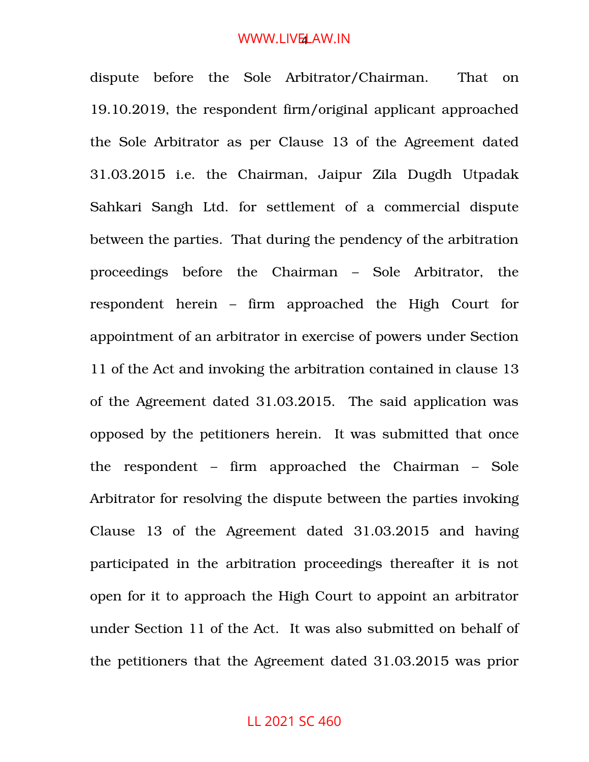dispute before the Sole Arbitrator/Chairman. That on 19.10.2019, the respondent firm/original applicant approached the Sole Arbitrator as per Clause 13 of the Agreement dated 31.03.2015 i.e. the Chairman, Jaipur Zila Dugdh Utpadak Sahkari Sangh Ltd. for settlement of a commercial dispute between the parties. That during the pendency of the arbitration proceedings before the Chairman – Sole Arbitrator, the respondent herein – firm approached the High Court for appointment of an arbitrator in exercise of powers under Section 11 of the Act and invoking the arbitration contained in clause 13 of the Agreement dated 31.03.2015. The said application was opposed by the petitioners herein. It was submitted that once the respondent – firm approached the Chairman – Sole Arbitrator for resolving the dispute between the parties invoking Clause 13 of the Agreement dated 31.03.2015 and having participated in the arbitration proceedings thereafter it is not open for it to approach the High Court to appoint an arbitrator under Section 11 of the Act. It was also submitted on behalf of the petitioners that the Agreement dated 31.03.2015 was prior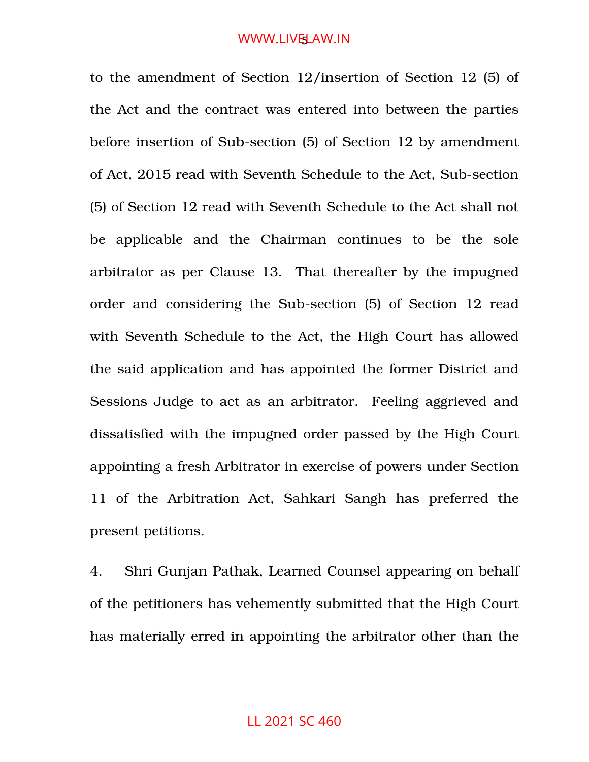to the amendment of Section 12/insertion of Section 12 (5) of the Act and the contract was entered into between the parties before insertion of Sub-section (5) of Section 12 by amendment of Act, 2015 read with Seventh Schedule to the Act, Sub-section (5) of Section 12 read with Seventh Schedule to the Act shall not be applicable and the Chairman continues to be the sole arbitrator as per Clause 13. That thereafter by the impugned order and considering the Sub-section (5) of Section 12 read with Seventh Schedule to the Act, the High Court has allowed the said application and has appointed the former District and Sessions Judge to act as an arbitrator. Feeling aggrieved and dissatisfied with the impugned order passed by the High Court appointing a fresh Arbitrator in exercise of powers under Section 11 of the Arbitration Act, Sahkari Sangh has preferred the present petitions.

4. Shri Gunjan Pathak, Learned Counsel appearing on behalf of the petitioners has vehemently submitted that the High Court has materially erred in appointing the arbitrator other than the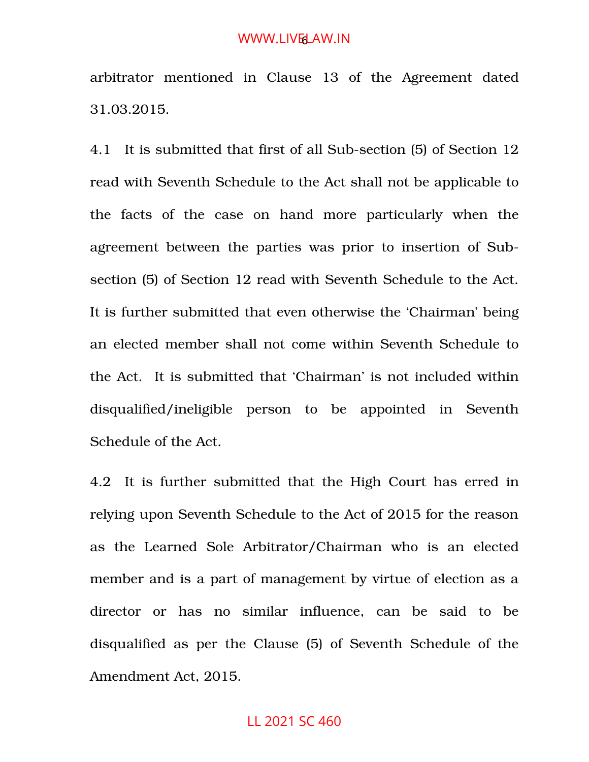arbitrator mentioned in Clause 13 of the Agreement dated 31.03.2015.

4.1 It is submitted that first of all Sub-section (5) of Section 12 read with Seventh Schedule to the Act shall not be applicable to the facts of the case on hand more particularly when the agreement between the parties was prior to insertion of Subsection (5) of Section 12 read with Seventh Schedule to the Act. It is further submitted that even otherwise the 'Chairman' being an elected member shall not come within Seventh Schedule to the Act. It is submitted that 'Chairman' is not included within disqualified/ineligible person to be appointed in Seventh Schedule of the Act.

4.2 It is further submitted that the High Court has erred in relying upon Seventh Schedule to the Act of 2015 for the reason as the Learned Sole Arbitrator/Chairman who is an elected member and is a part of management by virtue of election as a director or has no similar influence, can be said to be disqualified as per the Clause (5) of Seventh Schedule of the Amendment Act, 2015.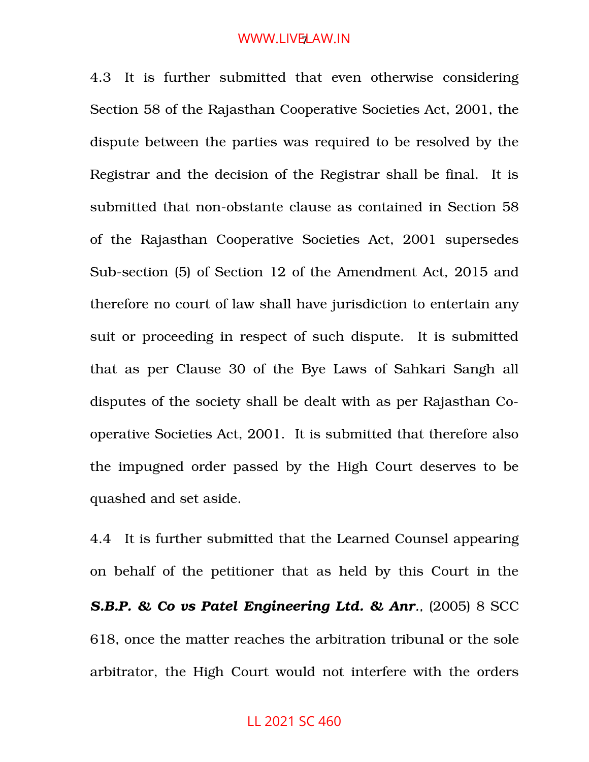4.3 It is further submitted that even otherwise considering Section 58 of the Rajasthan Cooperative Societies Act, 2001, the dispute between the parties was required to be resolved by the Registrar and the decision of the Registrar shall be final. It is submitted that non-obstante clause as contained in Section 58 of the Rajasthan Cooperative Societies Act, 2001 supersedes Sub-section (5) of Section 12 of the Amendment Act, 2015 and therefore no court of law shall have jurisdiction to entertain any suit or proceeding in respect of such dispute. It is submitted that as per Clause 30 of the Bye Laws of Sahkari Sangh all disputes of the society shall be dealt with as per Rajasthan Cooperative Societies Act, 2001. It is submitted that therefore also the impugned order passed by the High Court deserves to be quashed and set aside.

4.4 It is further submitted that the Learned Counsel appearing on behalf of the petitioner that as held by this Court in the *S.B.P. & Co vs Patel Engineering Ltd. & Anr.,* (2005) 8 SCC 618, once the matter reaches the arbitration tribunal or the sole arbitrator, the High Court would not interfere with the orders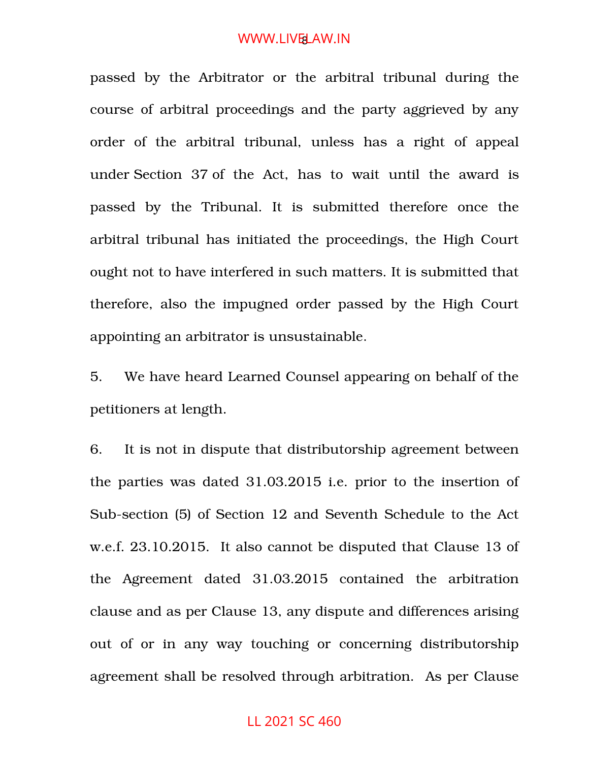passed by the Arbitrator or the arbitral tribunal during the course of arbitral proceedings and the party aggrieved by any order of the arbitral tribunal, unless has a right of appeal under Section 37 of the Act, has to wait until the award is passed by the Tribunal. It is submitted therefore once the arbitral tribunal has initiated the proceedings, the High Court ought not to have interfered in such matters. It is submitted that therefore, also the impugned order passed by the High Court appointing an arbitrator is unsustainable.

5. We have heard Learned Counsel appearing on behalf of the petitioners at length.

6. It is not in dispute that distributorship agreement between the parties was dated 31.03.2015 i.e. prior to the insertion of Sub-section (5) of Section 12 and Seventh Schedule to the Act w.e.f. 23.10.2015. It also cannot be disputed that Clause 13 of the Agreement dated 31.03.2015 contained the arbitration clause and as per Clause 13, any dispute and differences arising out of or in any way touching or concerning distributorship agreement shall be resolved through arbitration. As per Clause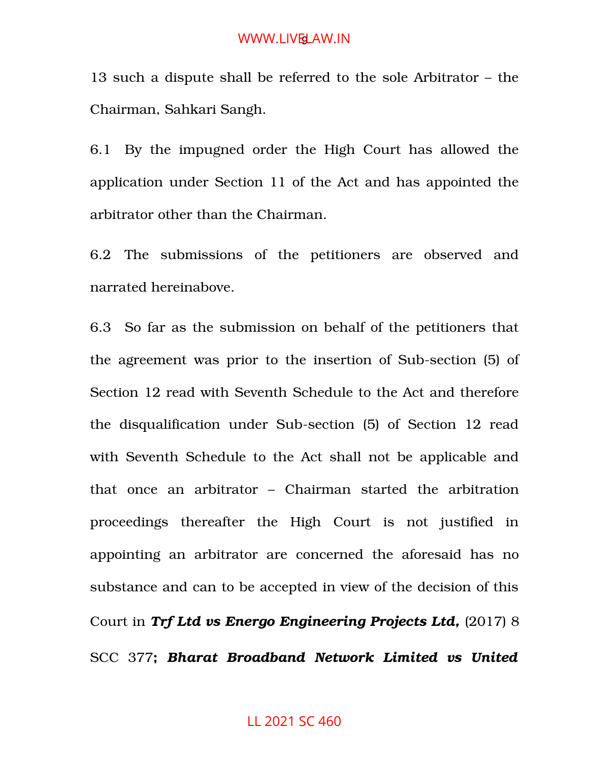13 such a dispute shall be referred to the sole Arbitrator – the Chairman, Sahkari Sangh.

6.1 By the impugned order the High Court has allowed the application under Section 11 of the Act and has appointed the arbitrator other than the Chairman.

6.2 The submissions of the petitioners are observed and narrated hereinabove.

6.3 So far as the submission on behalf of the petitioners that the agreement was prior to the insertion of Sub-section (5) of Section 12 read with Seventh Schedule to the Act and therefore the disqualification under Sub-section (5) of Section 12 read with Seventh Schedule to the Act shall not be applicable and that once an arbitrator - Chairman started the arbitration proceedings thereafter the High Court is not justified in appointing an arbitrator are concerned the aforesaid has no substance and can to be accepted in view of the decision of this Court in *Trf Ltd vs Energo Engineering Projects Ltd,* (2017) 8 SCC 377**;** *Bharat Broadband Network Limited vs United*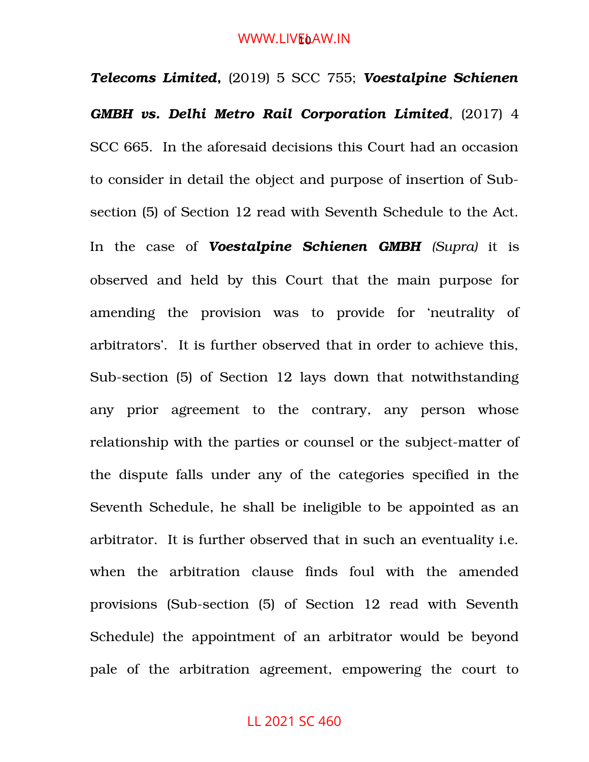#### WWW.LIV<mark>E</mark>oAW.IN

*Telecoms Limited***,** (2019) 5 SCC 755; *Voestalpine Schienen GMBH vs. Delhi Metro Rail Corporation Limited*, (2017) 4 SCC 665. In the aforesaid decisions this Court had an occasion to consider in detail the object and purpose of insertion of Subsection (5) of Section 12 read with Seventh Schedule to the Act. In the case of *Voestalpine Schienen GMBH (Supra)* it is observed and held by this Court that the main purpose for amending the provision was to provide for 'neutrality of arbitrators'. It is further observed that in order to achieve this, Sub-section (5) of Section 12 lays down that notwithstanding any prior agreement to the contrary, any person whose relationship with the parties or counsel or the subject-matter of the dispute falls under any of the categories specified in the Seventh Schedule, he shall be ineligible to be appointed as an arbitrator. It is further observed that in such an eventuality i.e. when the arbitration clause finds foul with the amended provisions (Sub-section (5) of Section 12 read with Seventh Schedule) the appointment of an arbitrator would be beyond pale of the arbitration agreement, empowering the court to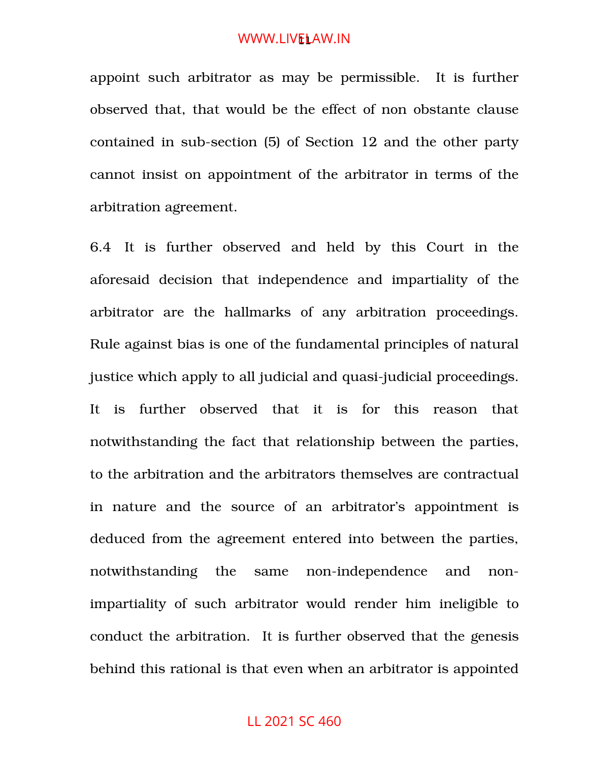appoint such arbitrator as may be permissible. It is further observed that, that would be the effect of non obstante clause contained in sub-section (5) of Section 12 and the other party cannot insist on appointment of the arbitrator in terms of the arbitration agreement.

6.4 It is further observed and held by this Court in the aforesaid decision that independence and impartiality of the arbitrator are the hallmarks of any arbitration proceedings. Rule against bias is one of the fundamental principles of natural justice which apply to all judicial and quasi-judicial proceedings. It is further observed that it is for this reason that notwithstanding the fact that relationship between the parties, to the arbitration and the arbitrators themselves are contractual in nature and the source of an arbitrator's appointment is deduced from the agreement entered into between the parties, notwithstanding the same non-independence and nonimpartiality of such arbitrator would render him ineligible to conduct the arbitration. It is further observed that the genesis behind this rational is that even when an arbitrator is appointed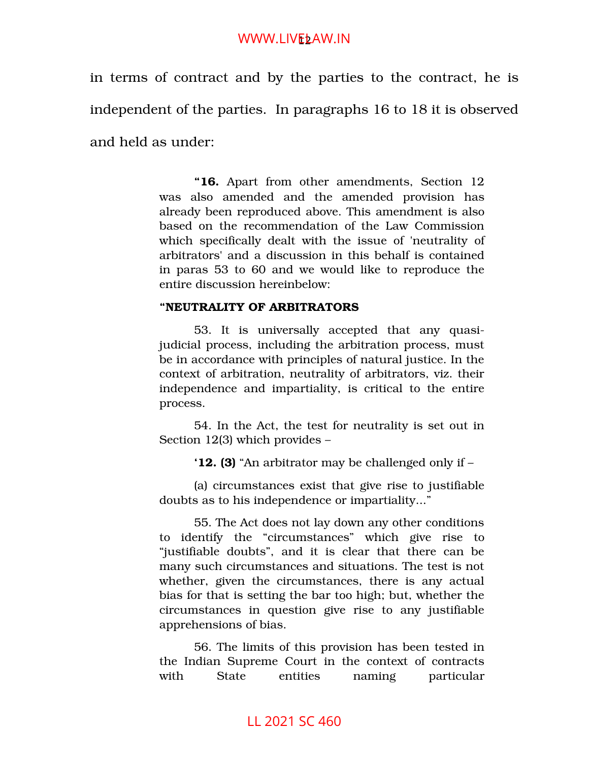## WWW.LIV<mark>E</mark>ŁAW.IN

in terms of contract and by the parties to the contract, he is independent of the parties. In paragraphs 16 to 18 it is observed and held as under:

> **"16.** Apart from other amendments, Section 12 was also amended and the amended provision has already been reproduced above. This amendment is also based on the recommendation of the Law Commission which specifically dealt with the issue of 'neutrality of arbitrators' and a discussion in this behalf is contained in paras 53 to 60 and we would like to reproduce the entire discussion hereinbelow:

#### **"NEUTRALITY OF ARBITRATORS**

53. It is universally accepted that any quasijudicial process, including the arbitration process, must be in accordance with principles of natural justice. In the context of arbitration, neutrality of arbitrators, viz. their independence and impartiality, is critical to the entire process.

54. In the Act, the test for neutrality is set out in Section 12(3) which provides –

**'12. (3)** "An arbitrator may be challenged only if –

(a) circumstances exist that give rise to justifiable doubts as to his independence or impartiality..."

55. The Act does not lay down any other conditions to identify the "circumstances" which give rise to "justifiable doubts", and it is clear that there can be many such circumstances and situations. The test is not whether, given the circumstances, there is any actual bias for that is setting the bar too high; but, whether the circumstances in question give rise to any justifiable apprehensions of bias.

56. The limits of this provision has been tested in the Indian Supreme Court in the context of contracts with State entities naming particular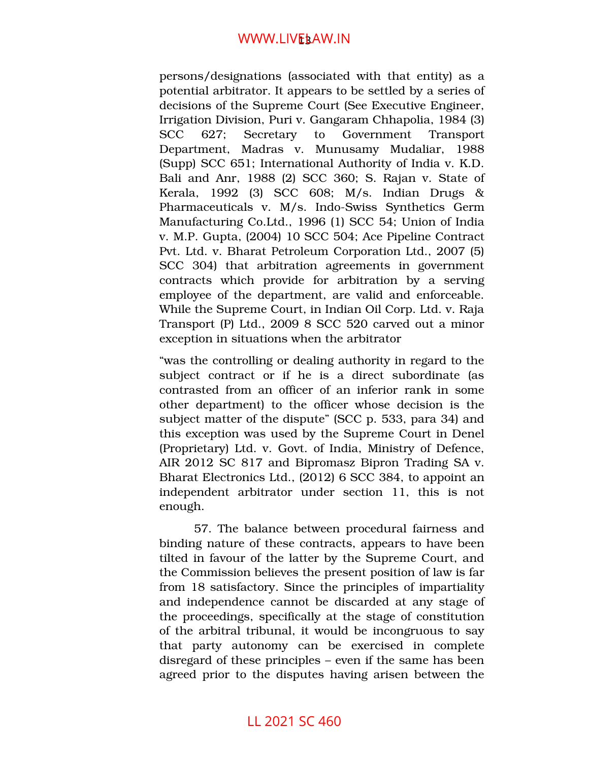## WWW.LIV<mark>E</mark>§AW.IN

persons/designations (associated with that entity) as a potential arbitrator. It appears to be settled by a series of decisions of the Supreme Court (See Executive Engineer, Irrigation Division, Puri v. Gangaram Chhapolia, 1984 (3) SCC 627; Secretary to Government Transport Department, Madras v. Munusamy Mudaliar, 1988 (Supp) SCC 651; International Authority of India v. K.D. Bali and Anr, 1988 (2) SCC 360; S. Rajan v. State of Kerala, 1992 (3) SCC 608; M/s. Indian Drugs & Pharmaceuticals v. M/s. Indo-Swiss Synthetics Germ Manufacturing Co.Ltd., 1996 (1) SCC 54; Union of India v. M.P. Gupta, (2004) 10 SCC 504; Ace Pipeline Contract Pvt. Ltd. v. Bharat Petroleum Corporation Ltd., 2007 (5) SCC 304) that arbitration agreements in government contracts which provide for arbitration by a serving employee of the department, are valid and enforceable. While the Supreme Court, in Indian Oil Corp. Ltd. v. Raja Transport (P) Ltd., 2009 8 SCC 520 carved out a minor exception in situations when the arbitrator

"was the controlling or dealing authority in regard to the subject contract or if he is a direct subordinate (as contrasted from an officer of an inferior rank in some other department) to the officer whose decision is the subject matter of the dispute" (SCC p. 533, para 34) and this exception was used by the Supreme Court in Denel (Proprietary) Ltd. v. Govt. of India, Ministry of Defence, AIR 2012 SC 817 and Bipromasz Bipron Trading SA v. Bharat Electronics Ltd., (2012) 6 SCC 384, to appoint an independent arbitrator under section 11, this is not enough.

57. The balance between procedural fairness and binding nature of these contracts, appears to have been tilted in favour of the latter by the Supreme Court, and the Commission believes the present position of law is far from 18 satisfactory. Since the principles of impartiality and independence cannot be discarded at any stage of the proceedings, specifically at the stage of constitution of the arbitral tribunal, it would be incongruous to say that party autonomy can be exercised in complete disregard of these principles – even if the same has been agreed prior to the disputes having arisen between the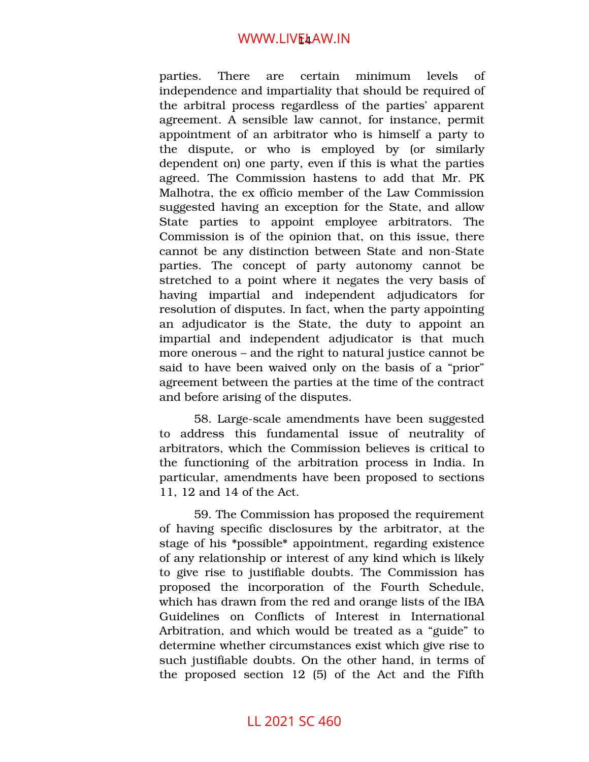## WWW.LIV<mark>E</mark>4AW.IN

parties. There are certain minimum levels of independence and impartiality that should be required of the arbitral process regardless of the parties' apparent agreement. A sensible law cannot, for instance, permit appointment of an arbitrator who is himself a party to the dispute, or who is employed by or similarly dependent on) one party, even if this is what the parties agreed. The Commission hastens to add that Mr. PK Malhotra, the ex officio member of the Law Commission suggested having an exception for the State, and allow State parties to appoint employee arbitrators. The Commission is of the opinion that, on this issue, there cannot be any distinction between State and non-State parties. The concept of party autonomy cannot be stretched to a point where it negates the very basis of having impartial and independent adjudicators for resolution of disputes. In fact, when the party appointing an adjudicator is the State, the duty to appoint an impartial and independent adjudicator is that much more onerous – and the right to natural justice cannot be said to have been waived only on the basis of a "prior" agreement between the parties at the time of the contract and before arising of the disputes.

58. Large-scale amendments have been suggested to address this fundamental issue of neutrality of arbitrators, which the Commission believes is critical to the functioning of the arbitration process in India. In particular, amendments have been proposed to sections 11, 12 and 14 of the Act.

59. The Commission has proposed the requirement of having specific disclosures by the arbitrator, at the stage of his \*possible\* appointment, regarding existence of any relationship or interest of any kind which is likely to give rise to justifiable doubts. The Commission has proposed the incorporation of the Fourth Schedule, which has drawn from the red and orange lists of the IBA Guidelines on Conflicts of Interest in International Arbitration, and which would be treated as a "guide" to determine whether circumstances exist which give rise to such justifiable doubts. On the other hand, in terms of the proposed section  $12$  (5) of the Act and the Fifth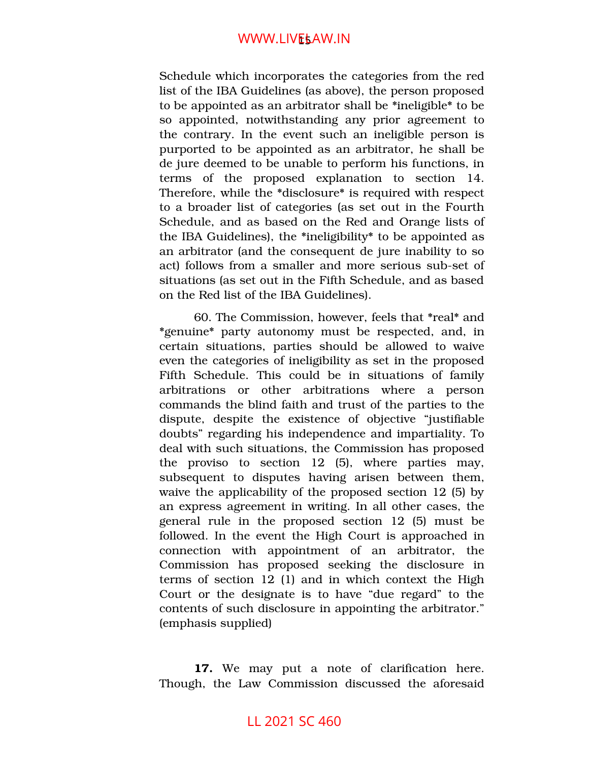Schedule which incorporates the categories from the red list of the IBA Guidelines (as above), the person proposed to be appointed as an arbitrator shall be \*ineligible\* to be so appointed, notwithstanding any prior agreement to the contrary. In the event such an ineligible person is purported to be appointed as an arbitrator, he shall be de jure deemed to be unable to perform his functions, in terms of the proposed explanation to section 14. Therefore, while the \*disclosure\* is required with respect to a broader list of categories (as set out in the Fourth Schedule, and as based on the Red and Orange lists of the IBA Guidelines), the \*ineligibility\* to be appointed as an arbitrator (and the consequent de jure inability to so act) follows from a smaller and more serious sub-set of situations (as set out in the Fifth Schedule, and as based on the Red list of the IBA Guidelines).

60. The Commission, however, feels that \*real\* and \*genuine\* party autonomy must be respected, and, in certain situations, parties should be allowed to waive even the categories of ineligibility as set in the proposed Fifth Schedule. This could be in situations of family arbitrations or other arbitrations where a person commands the blind faith and trust of the parties to the dispute, despite the existence of objective "justifiable" doubts" regarding his independence and impartiality. To deal with such situations, the Commission has proposed the proviso to section  $12$  (5), where parties may, subsequent to disputes having arisen between them, waive the applicability of the proposed section 12 (5) by an express agreement in writing. In all other cases, the general rule in the proposed section  $12$  (5) must be followed. In the event the High Court is approached in connection with appointment of an arbitrator, the Commission has proposed seeking the disclosure in terms of section 12 (1) and in which context the High Court or the designate is to have "due regard" to the contents of such disclosure in appointing the arbitrator." (emphasis supplied)

**17.** We may put a note of clarification here. Though, the Law Commission discussed the aforesaid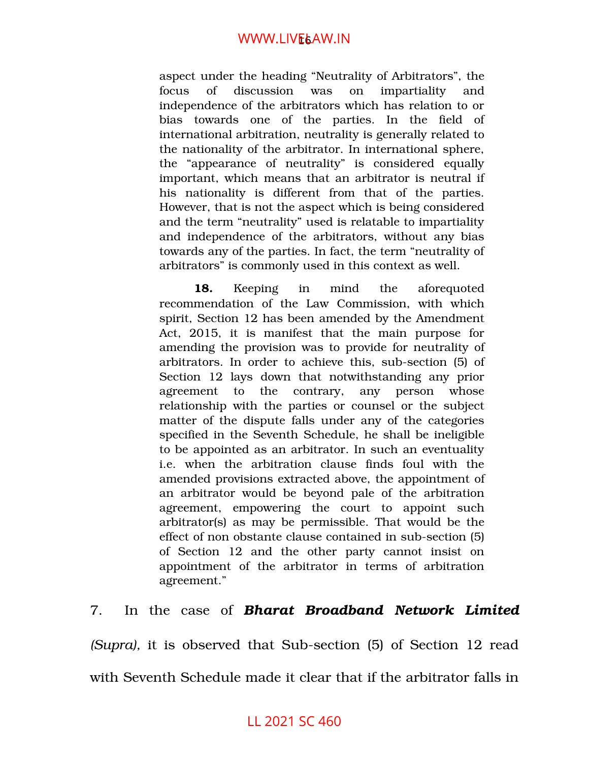aspect under the heading "Neutrality of Arbitrators", the focus of discussion was on impartiality and independence of the arbitrators which has relation to or bias towards one of the parties. In the field of international arbitration, neutrality is generally related to the nationality of the arbitrator. In international sphere, the "appearance of neutrality" is considered equally important, which means that an arbitrator is neutral if his nationality is different from that of the parties. However, that is not the aspect which is being considered and the term "neutrality" used is relatable to impartiality and independence of the arbitrators, without any bias towards any of the parties. In fact, the term "neutrality of arbitrators" is commonly used in this context as well.

18. Keeping in mind the aforequoted recommendation of the Law Commission, with which spirit, Section 12 has been amended by the Amendment Act, 2015, it is manifest that the main purpose for amending the provision was to provide for neutrality of arbitrators. In order to achieve this, sub-section (5) of Section 12 lays down that notwithstanding any prior agreement to the contrary, any person whose relationship with the parties or counsel or the subject matter of the dispute falls under any of the categories specified in the Seventh Schedule, he shall be ineligible to be appointed as an arbitrator. In such an eventuality i.e. when the arbitration clause finds foul with the amended provisions extracted above, the appointment of an arbitrator would be beyond pale of the arbitration agreement, empowering the court to appoint such arbitrator(s) as may be permissible. That would be the effect of non obstante clause contained in sub-section (5) of Section 12 and the other party cannot insist on appointment of the arbitrator in terms of arbitration agreement."

7. In the case of *Bharat Broadband Network Limited (Supra)*, it is observed that Sub-section (5) of Section 12 read with Seventh Schedule made it clear that if the arbitrator falls in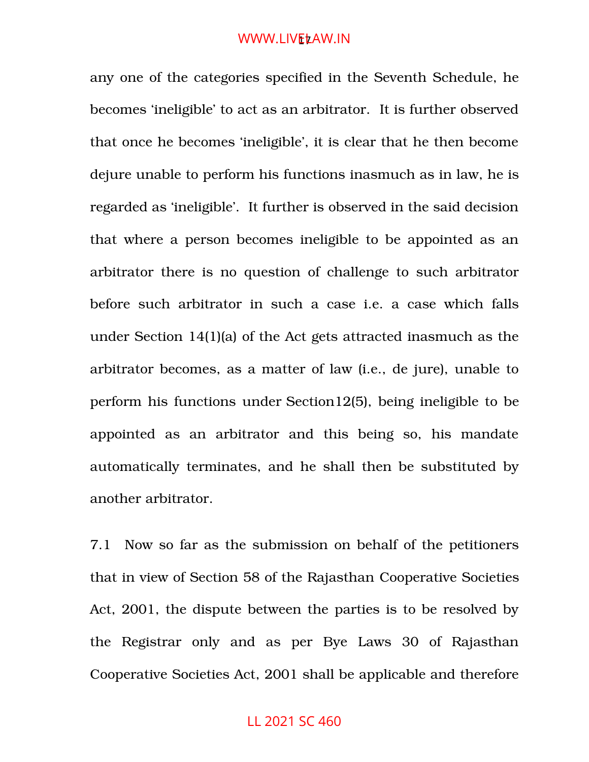#### WWW.LIV<mark>E</mark>ŁAW.IN

any one of the categories specified in the Seventh Schedule, he becomes 'ineligible' to act as an arbitrator. It is further observed that once he becomes 'ineligible', it is clear that he then become dejure unable to perform his functions inasmuch as in law, he is regarded as 'ineligible'. It further is observed in the said decision that where a person becomes ineligible to be appointed as an arbitrator there is no question of challenge to such arbitrator before such arbitrator in such a case i.e. a case which falls under Section 14(1)(a) of the Act gets attracted inasmuch as the arbitrator becomes, as a matter of law (i.e., de jure), unable to perform his functions under [Section12\(5\),](https://indiankanoon.org/doc/643968/) being ineligible to be appointed as an arbitrator and this being so, his mandate automatically terminates, and he shall then be substituted by another arbitrator.

7.1 Now so far as the submission on behalf of the petitioners that in view of Section 58 of the Rajasthan Cooperative Societies Act, 2001, the dispute between the parties is to be resolved by the Registrar only and as per Bye Laws 30 of Rajasthan Cooperative Societies Act, 2001 shall be applicable and therefore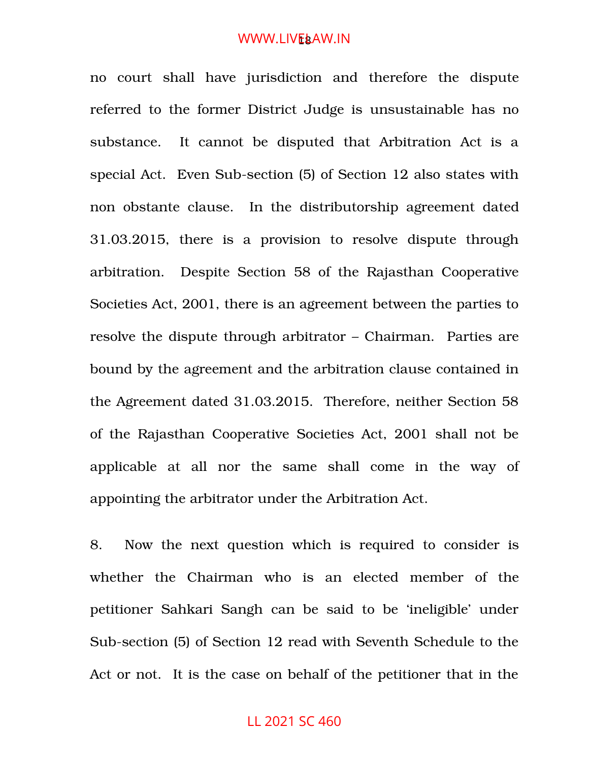#### WWW.LIV<mark>E</mark>&AW.IN

no court shall have jurisdiction and therefore the dispute referred to the former District Judge is unsustainable has no substance. It cannot be disputed that Arbitration Act is a special Act. Even Sub-section (5) of Section 12 also states with non obstante clause. In the distributorship agreement dated 31.03.2015, there is a provision to resolve dispute through arbitration. Despite Section 58 of the Rajasthan Cooperative Societies Act, 2001, there is an agreement between the parties to resolve the dispute through arbitrator – Chairman. Parties are bound by the agreement and the arbitration clause contained in the Agreement dated 31.03.2015. Therefore, neither Section 58 of the Rajasthan Cooperative Societies Act, 2001 shall not be applicable at all nor the same shall come in the way of appointing the arbitrator under the Arbitration Act.

8. Now the next question which is required to consider is whether the Chairman who is an elected member of the petitioner Sahkari Sangh can be said to be 'ineligible' under Sub-section (5) of Section 12 read with Seventh Schedule to the Act or not. It is the case on behalf of the petitioner that in the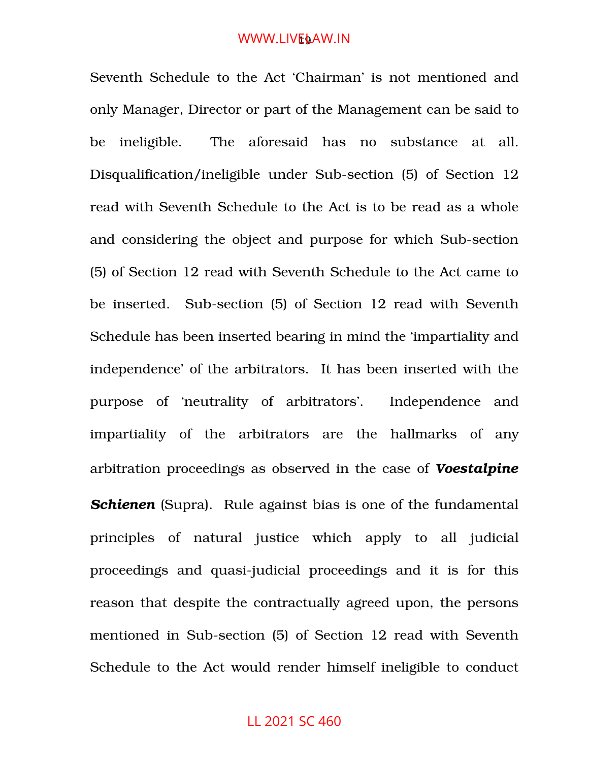#### WWW.LIV<mark>E</mark>§AW.IN

Seventh Schedule to the Act 'Chairman' is not mentioned and only Manager, Director or part of the Management can be said to be ineligible. The aforesaid has no substance at all. Disqualification/ineligible under Sub-section (5) of Section 12 read with Seventh Schedule to the Act is to be read as a whole and considering the object and purpose for which Sub-section (5) of Section 12 read with Seventh Schedule to the Act came to be inserted. Sub-section (5) of Section 12 read with Seventh Schedule has been inserted bearing in mind the 'impartiality and independence' of the arbitrators. It has been inserted with the purpose of 'neutrality of arbitrators'. Independence and impartiality of the arbitrators are the hallmarks of any arbitration proceedings as observed in the case of *Voestalpine* **Schienen** (Supra). Rule against bias is one of the fundamental principles of natural justice which apply to all judicial proceedings and quasi-judicial proceedings and it is for this reason that despite the contractually agreed upon, the persons mentioned in Sub-section (5) of Section 12 read with Seventh Schedule to the Act would render himself ineligible to conduct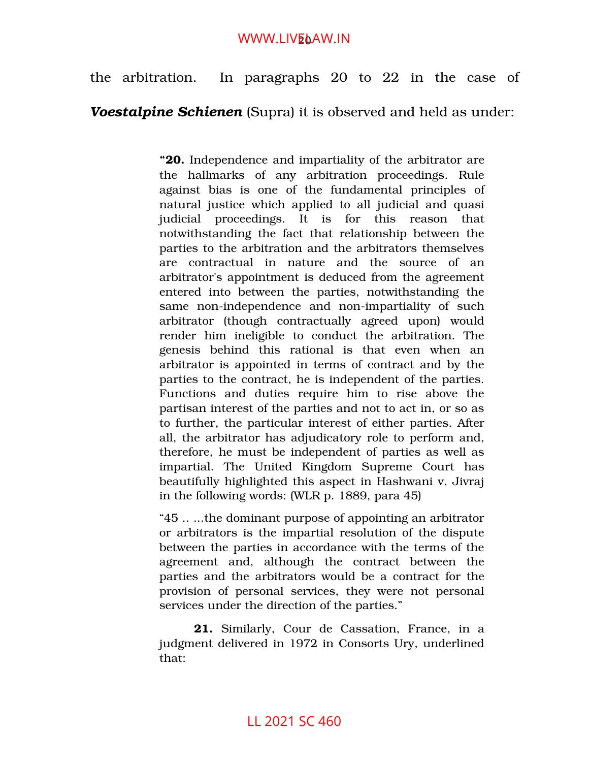## WWW.LIV<mark>E</mark>oAW.IN

the arbitration. In paragraphs 20 to 22 in the case of

## *Voestalpine Schienen* (Supra) it is observed and held as under:

**"20.** Independence and impartiality of the arbitrator are the hallmarks of any arbitration proceedings. Rule against bias is one of the fundamental principles of natural justice which applied to all judicial and quasi judicial proceedings. It is for this reason that notwithstanding the fact that relationship between the parties to the arbitration and the arbitrators themselves are contractual in nature and the source of an arbitrator's appointment is deduced from the agreement entered into between the parties, notwithstanding the same non-independence and non-impartiality of such arbitrator (though contractually agreed upon) would render him ineligible to conduct the arbitration. The genesis behind this rational is that even when an arbitrator is appointed in terms of contract and by the parties to the contract, he is independent of the parties. Functions and duties require him to rise above the partisan interest of the parties and not to act in, or so as to further, the particular interest of either parties. After all, the arbitrator has adjudicatory role to perform and, therefore, he must be independent of parties as well as impartial. The United Kingdom Supreme Court has beautifully highlighted this aspect in Hashwani v. Jivraj in the following words: (WLR p. 1889, para 45)

"45 .. ...the dominant purpose of appointing an arbitrator or arbitrators is the impartial resolution of the dispute between the parties in accordance with the terms of the agreement and, although the contract between the parties and the arbitrators would be a contract for the provision of personal services, they were not personal services under the direction of the parties."

21. Similarly, Cour de Cassation, France, in a judgment delivered in 1972 in Consorts Ury, underlined that: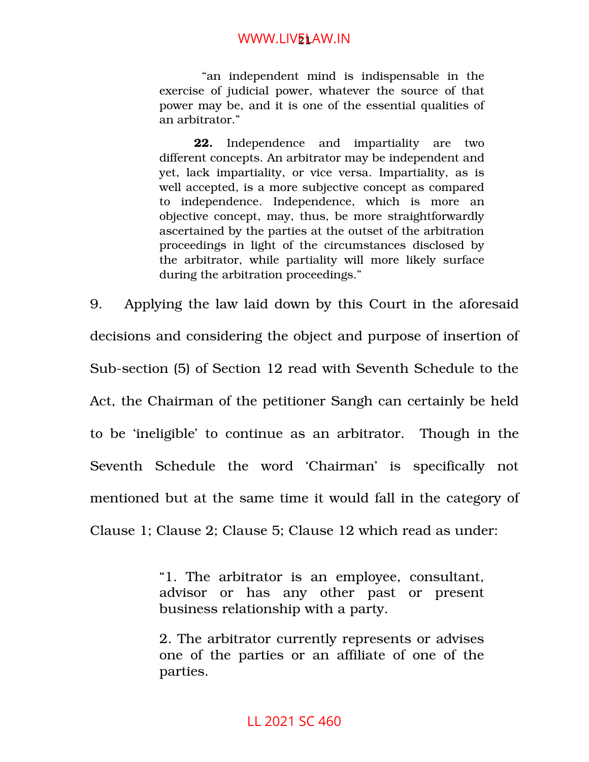## WWW.LIV<mark>EL</mark>AW.IN

 "an independent mind is indispensable in the exercise of judicial power, whatever the source of that power may be, and it is one of the essential qualities of an arbitrator."

**22.** Independence and impartiality are two different concepts. An arbitrator may be independent and yet, lack impartiality, or vice versa. Impartiality, as is well accepted, is a more subjective concept as compared to independence. Independence, which is more an objective concept, may, thus, be more straightforwardly ascertained by the parties at the outset of the arbitration proceedings in light of the circumstances disclosed by the arbitrator, while partiality will more likely surface during the arbitration proceedings."

9. Applying the law laid down by this Court in the aforesaid decisions and considering the object and purpose of insertion of Sub-section (5) of Section 12 read with Seventh Schedule to the Act, the Chairman of the petitioner Sangh can certainly be held to be 'ineligible' to continue as an arbitrator. Though in the Seventh Schedule the word 'Chairman' is specifically not mentioned but at the same time it would fall in the category of Clause 1; Clause 2; Clause 5; Clause 12 which read as under:

> "1. The arbitrator is an employee, consultant, advisor or has any other past or present business relationship with a party.

> 2. The arbitrator currently represents or advises one of the parties or an affiliate of one of the parties.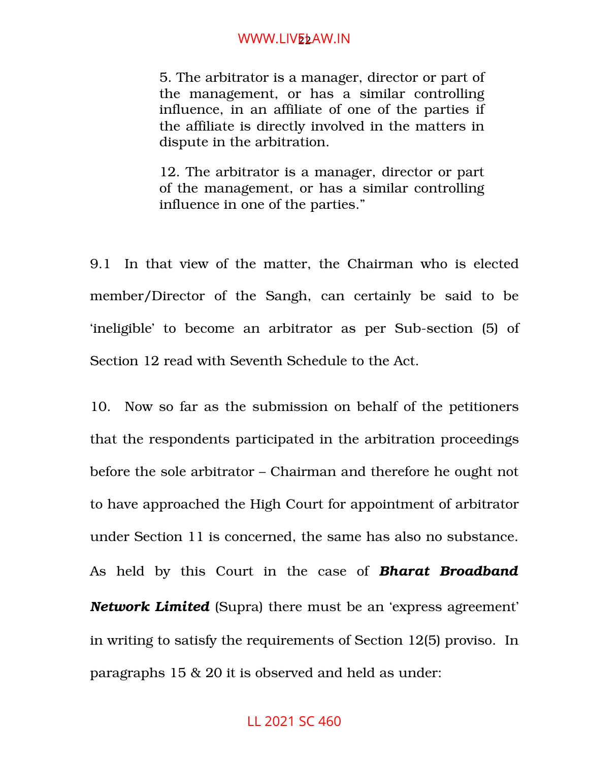## WWW.LIV<mark>EL</mark>AW.IN

5. The arbitrator is a manager, director or part of the management, or has a similar controlling influence, in an affiliate of one of the parties if the affiliate is directly involved in the matters in dispute in the arbitration.

12. The arbitrator is a manager, director or part of the management, or has a similar controlling influence in one of the parties."

9.1 In that view of the matter, the Chairman who is elected member/Director of the Sangh, can certainly be said to be 'ineligible' to become an arbitrator as per Sub-section (5) of Section 12 read with Seventh Schedule to the Act.

10. Now so far as the submission on behalf of the petitioners that the respondents participated in the arbitration proceedings before the sole arbitrator – Chairman and therefore he ought not to have approached the High Court for appointment of arbitrator under Section 11 is concerned, the same has also no substance. As held by this Court in the case of *Bharat Broadband Network Limited* (Supra) there must be an 'express agreement' in writing to satisfy the requirements of Section 12(5) proviso. In paragraphs 15 & 20 it is observed and held as under: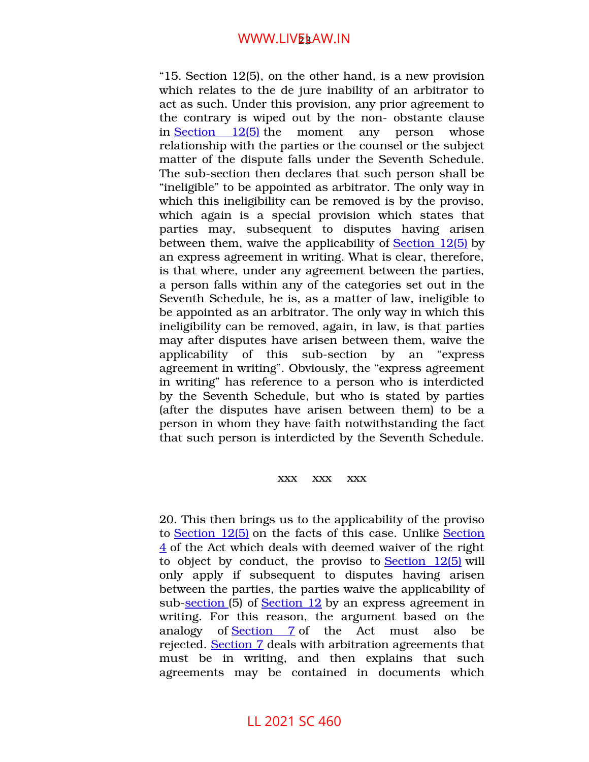## WWW.LIV<mark>E</mark>§AW.IN

"15. [Section 12\(5\),](https://indiankanoon.org/doc/643968/) on the other hand, is a new provision which relates to the de jure inability of an arbitrator to act as such. Under this provision, any prior agreement to the contrary is wiped out by the non-obstante clause in  $Section \quad 12(5)$  the moment any person whose relationship with the parties or the counsel or the subject matter of the dispute falls under the Seventh Schedule. The sub-section then declares that such person shall be "ineligible" to be appointed as arbitrator. The only way in which this ineligibility can be removed is by the proviso, which again is a special provision which states that parties may, subsequent to disputes having arisen between them, waive the applicability of [Section 12\(5\)](https://indiankanoon.org/doc/643968/) by an express agreement in writing. What is clear, therefore, is that where, under any agreement between the parties, a person falls within any of the categories set out in the Seventh Schedule, he is, as a matter of law, ineligible to be appointed as an arbitrator. The only way in which this ineligibility can be removed, again, in law, is that parties may after disputes have arisen between them, waive the applicability of this sub-section by an "express" agreement in writing". Obviously, the "express agreement in writing" has reference to a person who is interdicted by the Seventh Schedule, but who is stated by parties (after the disputes have arisen between them) to be a person in whom they have faith notwithstanding the fact that such person is interdicted by the Seventh Schedule.

#### xxx xxx xxx

20. This then brings us to the applicability of the proviso to [Section 12\(5\)](https://indiankanoon.org/doc/643968/) on the facts of this case. Unlike [Section](https://indiankanoon.org/doc/1587307/) [4](https://indiankanoon.org/doc/1587307/) of the Act which deals with deemed waiver of the right to object by conduct, the proviso to Section  $12(5)$  will only apply if subsequent to disputes having arisen between the parties, the parties waive the applicability of sub-section (5) of [Section 12](https://indiankanoon.org/doc/643968/) by an express agreement in writing. For this reason, the argument based on the analogy of Section 7 of the Act must also be rejected. [Section 7](https://indiankanoon.org/doc/1951219/) deals with arbitration agreements that must be in writing, and then explains that such agreements may be contained in documents which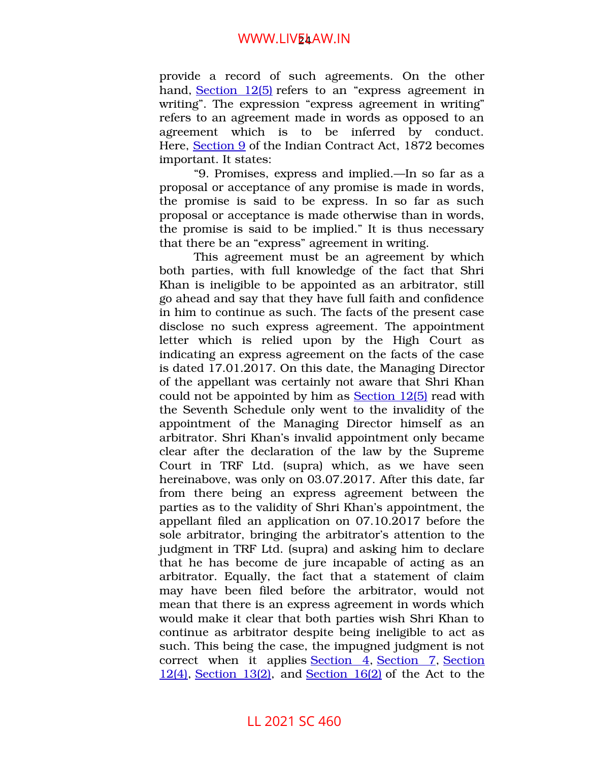## WWW.LIV<mark>E</mark>4AW.IN

provide a record of such agreements. On the other hand, [Section 12\(5\)](https://indiankanoon.org/doc/643968/) refers to an "express agreement in writing". The expression "express agreement in writing" refers to an agreement made in words as opposed to an agreement which is to be inferred by conduct. Here, [Section 9](https://indiankanoon.org/doc/1589358/) of the Indian Contract Act, 1872 becomes important. It states:

"9. Promises, express and implied.—In so far as a proposal or acceptance of any promise is made in words, the promise is said to be express. In so far as such proposal or acceptance is made otherwise than in words, the promise is said to be implied." It is thus necessary that there be an "express" agreement in writing.

This agreement must be an agreement by which both parties, with full knowledge of the fact that Shri Khan is ineligible to be appointed as an arbitrator, still go ahead and say that they have full faith and confidence in him to continue as such. The facts of the present case disclose no such express agreement. The appointment letter which is relied upon by the High Court as indicating an express agreement on the facts of the case is dated 17.01.2017. On this date, the Managing Director of the appellant was certainly not aware that Shri Khan could not be appointed by him as [Section 12\(5\)](https://indiankanoon.org/doc/643968/) read with the Seventh Schedule only went to the invalidity of the appointment of the Managing Director himself as an arbitrator. Shri Khan's invalid appointment only became clear after the declaration of the law by the Supreme Court in TRF Ltd. (supra) which, as we have seen hereinabove, was only on 03.07.2017. After this date, far from there being an express agreement between the parties as to the validity of Shri Khan's appointment, the appellant filed an application on 07.10.2017 before the sole arbitrator, bringing the arbitrator's attention to the judgment in TRF Ltd. (supra) and asking him to declare that he has become de jure incapable of acting as an arbitrator. Equally, the fact that a statement of claim may have been filed before the arbitrator, would not mean that there is an express agreement in words which would make it clear that both parties wish Shri Khan to continue as arbitrator despite being ineligible to act as such. This being the case, the impugned judgment is not correct when it applies [Section](https://indiankanoon.org/doc/643968/) 4, Section 7, Section [12\(4\),](https://indiankanoon.org/doc/643968/) [Section 13\(2\),](https://indiankanoon.org/doc/1544801/) and [Section 16\(2\)](https://indiankanoon.org/doc/945296/) of the Act to the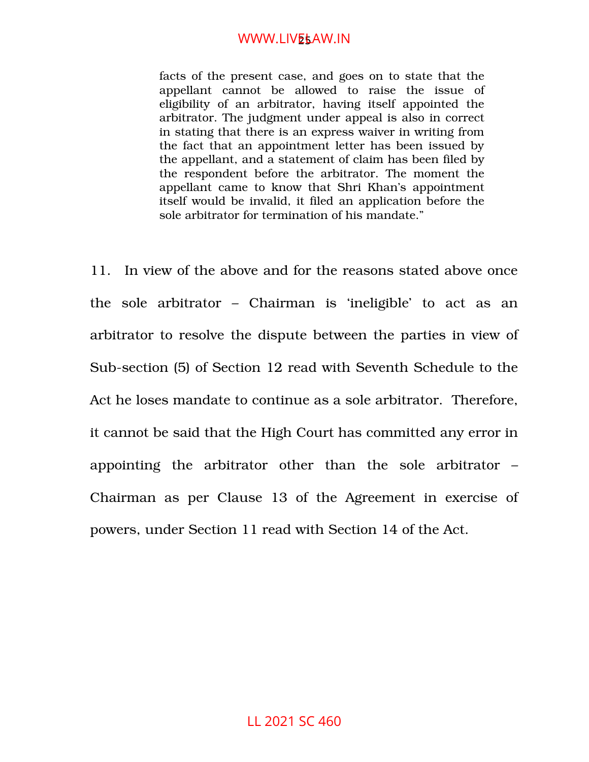## WWW.LIV<mark>E</mark>sAW.IN

facts of the present case, and goes on to state that the appellant cannot be allowed to raise the issue of eligibility of an arbitrator, having itself appointed the arbitrator. The judgment under appeal is also in correct in stating that there is an express waiver in writing from the fact that an appointment letter has been issued by the appellant, and a statement of claim has been filed by the respondent before the arbitrator. The moment the appellant came to know that Shri Khan's appointment itself would be invalid, it filed an application before the sole arbitrator for termination of his mandate."

11. In view of the above and for the reasons stated above once the sole arbitrator  $-$  Chairman is 'ineligible' to act as an arbitrator to resolve the dispute between the parties in view of Sub-section (5) of Section 12 read with Seventh Schedule to the Act he loses mandate to continue as a sole arbitrator. Therefore, it cannot be said that the High Court has committed any error in appointing the arbitrator other than the sole arbitrator  $-$ Chairman as per Clause 13 of the Agreement in exercise of powers, under Section 11 read with Section 14 of the Act.